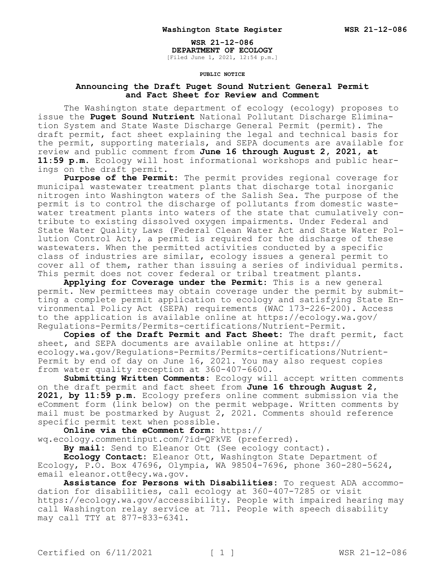**WSR 21-12-086**

**DEPARTMENT OF ECOLOGY** [Filed June 1, 2021, 12:54 p.m.]

## **PUBLIC NOTICE**

## **Announcing the Draft Puget Sound Nutrient General Permit and Fact Sheet for Review and Comment**

The Washington state department of ecology (ecology) proposes to issue the **Puget Sound Nutrient** National Pollutant Discharge Elimination System and State Waste Discharge General Permit (permit). The draft permit, fact sheet explaining the legal and technical basis for the permit, supporting materials, and SEPA documents are available for review and public comment from **June 16 through August 2, 2021, at 11:59 p.m.** Ecology will host informational workshops and public hearings on the draft permit.

**Purpose of the Permit:** The permit provides regional coverage for municipal wastewater treatment plants that discharge total inorganic nitrogen into Washington waters of the Salish Sea. The purpose of the permit is to control the discharge of pollutants from domestic wastewater treatment plants into waters of the state that cumulatively contribute to existing dissolved oxygen impairments. Under Federal and State Water Quality Laws (Federal Clean Water Act and State Water Pollution Control Act), a permit is required for the discharge of these wastewaters. When the permitted activities conducted by a specific class of industries are similar, ecology issues a general permit to cover all of them, rather than issuing a series of individual permits. This permit does not cover federal or tribal treatment plants.

**Applying for Coverage under the Permit:** This is a new general permit. New permittees may obtain coverage under the permit by submitting a complete permit application to ecology and satisfying State Environmental Policy Act (SEPA) requirements (WAC 173-226-200). Access to the application is available online at https://ecology.wa.gov/ Regulations-Permits/Permits-certifications/Nutrient-Permit.

**Copies of the Draft Permit and Fact Sheet:** The draft permit, fact sheet, and SEPA documents are available online at https:// ecology.wa.gov/Regulations-Permits/Permits-certifications/Nutrient-Permit by end of day on June 16, 2021. You may also request copies from water quality reception at 360-407-6600.

**Submitting Written Comments:** Ecology will accept written comments on the draft permit and fact sheet from **June 16 through August 2, 2021, by 11:59 p.m.** Ecology prefers online comment submission via the eComment form (link below) on the permit webpage. Written comments by mail must be postmarked by August 2, 2021. Comments should reference specific permit text when possible.

**Online via the eComment form:** https:// wq.ecology.commentinput.com/?id=QFkVE (preferred).

**By mail:** Send to Eleanor Ott (See ecology contact).

**Ecology Contact:** Eleanor Ott, Washington State Department of Ecology, P.O. Box 47696, Olympia, WA 98504-7696, phone 360-280-5624, email eleanor.ott@ecy.wa.gov.

**Assistance for Persons with Disabilities:** To request ADA accommodation for disabilities, call ecology at 360-407-7285 or visit https://ecology.wa.gov/accessibility. People with impaired hearing may call Washington relay service at 711. People with speech disability may call TTY at 877-833-6341.